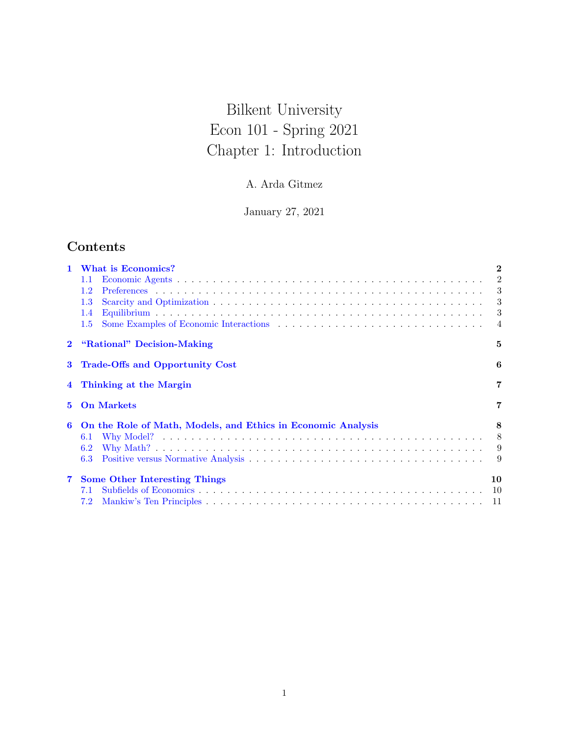# Bilkent University Econ 101 - Spring 2021 Chapter 1: Introduction

## A. Arda Gitmez

January 27, 2021

# Contents

| 1            | What is Economics?                                           | $\bf{2}$ |
|--------------|--------------------------------------------------------------|----------|
|              | 1.1                                                          | 2        |
|              | $1.2\,$                                                      | 3        |
|              | $1.3\,$                                                      | 3        |
|              | 1.4                                                          | 3        |
|              | $1.5\,$                                                      | -4       |
| $\mathbf{2}$ | "Rational" Decision-Making                                   | 5        |
| 3            | Trade-Offs and Opportunity Cost                              | 6        |
|              | 4 Thinking at the Margin                                     | 7        |
| 5.           | <b>On Markets</b>                                            | 7        |
| 6            | On the Role of Math, Models, and Ethics in Economic Analysis | 8        |
|              | 6.1                                                          | 8        |
|              | 6.2                                                          | 9        |
|              | 6.3                                                          | 9        |
| $\mathbf{7}$ | <b>Some Other Interesting Things</b>                         | 10       |
|              | 7.1                                                          | 10       |
|              | 7.2                                                          | 11       |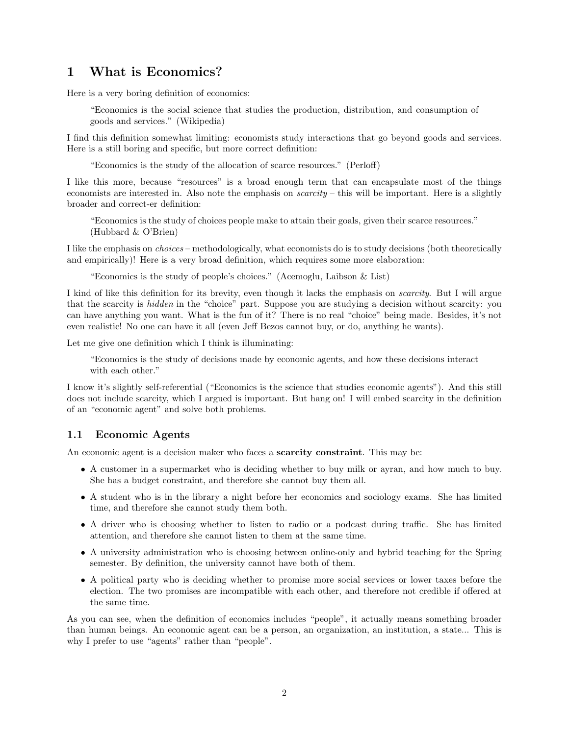### <span id="page-1-0"></span>1 What is Economics?

Here is a very boring definition of economics:

"Economics is the social science that studies the production, distribution, and consumption of goods and services." (Wikipedia)

I find this definition somewhat limiting: economists study interactions that go beyond goods and services. Here is a still boring and specific, but more correct definition:

"Economics is the study of the allocation of scarce resources." (Perloff)

I like this more, because "resources" is a broad enough term that can encapsulate most of the things economists are interested in. Also note the emphasis on  $scarcity$  – this will be important. Here is a slightly broader and correct-er definition:

"Economics is the study of choices people make to attain their goals, given their scarce resources." (Hubbard & O'Brien)

I like the emphasis on choices – methodologically, what economists do is to study decisions (both theoretically and empirically)! Here is a very broad definition, which requires some more elaboration:

"Economics is the study of people's choices." (Acemoglu, Laibson & List)

I kind of like this definition for its brevity, even though it lacks the emphasis on scarcity. But I will argue that the scarcity is *hidden* in the "choice" part. Suppose you are studying a decision without scarcity: you can have anything you want. What is the fun of it? There is no real "choice" being made. Besides, it's not even realistic! No one can have it all (even Jeff Bezos cannot buy, or do, anything he wants).

Let me give one definition which I think is illuminating:

"Economics is the study of decisions made by economic agents, and how these decisions interact with each other."

I know it's slightly self-referential ("Economics is the science that studies economic agents"). And this still does not include scarcity, which I argued is important. But hang on! I will embed scarcity in the definition of an "economic agent" and solve both problems.

#### <span id="page-1-1"></span>1.1 Economic Agents

An economic agent is a decision maker who faces a **scarcity constraint**. This may be:

- A customer in a supermarket who is deciding whether to buy milk or ayran, and how much to buy. She has a budget constraint, and therefore she cannot buy them all.
- A student who is in the library a night before her economics and sociology exams. She has limited time, and therefore she cannot study them both.
- A driver who is choosing whether to listen to radio or a podcast during traffic. She has limited attention, and therefore she cannot listen to them at the same time.
- A university administration who is choosing between online-only and hybrid teaching for the Spring semester. By definition, the university cannot have both of them.
- A political party who is deciding whether to promise more social services or lower taxes before the election. The two promises are incompatible with each other, and therefore not credible if offered at the same time.

As you can see, when the definition of economics includes "people", it actually means something broader than human beings. An economic agent can be a person, an organization, an institution, a state... This is why I prefer to use "agents" rather than "people".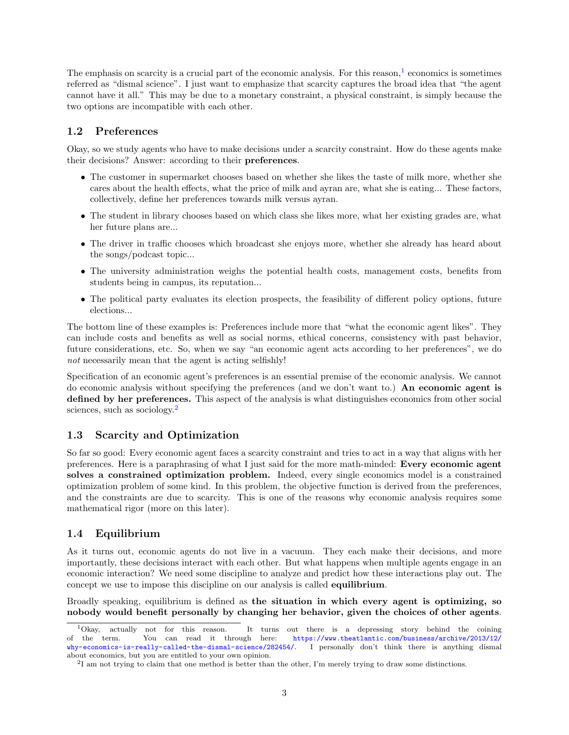The emphasis on scarcity is a crucial part of the economic analysis. For this reason,<sup>[1](#page-2-3)</sup> economics is sometimes referred as "dismal science". I just want to emphasize that scarcity captures the broad idea that "the agent cannot have it all." This may be due to a monetary constraint, a physical constraint, is simply because the two options are incompatible with each other.

### <span id="page-2-0"></span>1.2 Preferences

Okay, so we study agents who have to make decisions under a scarcity constraint. How do these agents make their decisions? Answer: according to their preferences.

- The customer in supermarket chooses based on whether she likes the taste of milk more, whether she cares about the health effects, what the price of milk and ayran are, what she is eating... These factors, collectively, define her preferences towards milk versus ayran.
- The student in library chooses based on which class she likes more, what her existing grades are, what her future plans are...
- The driver in traffic chooses which broadcast she enjoys more, whether she already has heard about the songs/podcast topic...
- The university administration weighs the potential health costs, management costs, benefits from students being in campus, its reputation...
- The political party evaluates its election prospects, the feasibility of different policy options, future elections...

The bottom line of these examples is: Preferences include more that "what the economic agent likes". They can include costs and benefits as well as social norms, ethical concerns, consistency with past behavior, future considerations, etc. So, when we say "an economic agent acts according to her preferences", we do not necessarily mean that the agent is acting selfishly!

Specification of an economic agent's preferences is an essential premise of the economic analysis. We cannot do economic analysis without specifying the preferences (and we don't want to.) An economic agent is defined by her preferences. This aspect of the analysis is what distinguishes economics from other social sciences, such as sociology.<sup>[2](#page-2-4)</sup>

### <span id="page-2-1"></span>1.3 Scarcity and Optimization

So far so good: Every economic agent faces a scarcity constraint and tries to act in a way that aligns with her preferences. Here is a paraphrasing of what I just said for the more math-minded: Every economic agent solves a constrained optimization problem. Indeed, every single economics model is a constrained optimization problem of some kind. In this problem, the objective function is derived from the preferences, and the constraints are due to scarcity. This is one of the reasons why economic analysis requires some mathematical rigor (more on this later).

### <span id="page-2-2"></span>1.4 Equilibrium

As it turns out, economic agents do not live in a vacuum. They each make their decisions, and more importantly, these decisions interact with each other. But what happens when multiple agents engage in an economic interaction? We need some discipline to analyze and predict how these interactions play out. The concept we use to impose this discipline on our analysis is called equilibrium.

Broadly speaking, equilibrium is defined as the situation in which every agent is optimizing, so nobody would benefit personally by changing her behavior, given the choices of other agents.

<span id="page-2-3"></span><sup>1</sup>Okay, actually not for this reason. It turns out there is a depressing story behind the coining of the term. You can read it through here: [https://www.theatlantic.com/business/archive/2013/12/](https://www.theatlantic.com/business/archive/2013/12/why-economics-is-really-called-the-dismal-science/282454/)<br>why-economics-is-really-called-the-dismal-science/282454/. I personally don't think there is anything dismal [why-economics-is-really-called-the-dismal-science/282454/](https://www.theatlantic.com/business/archive/2013/12/why-economics-is-really-called-the-dismal-science/282454/). about economics, but you are entitled to your own opinion.

<span id="page-2-4"></span><sup>&</sup>lt;sup>2</sup>I am not trying to claim that one method is better than the other, I'm merely trying to draw some distinctions.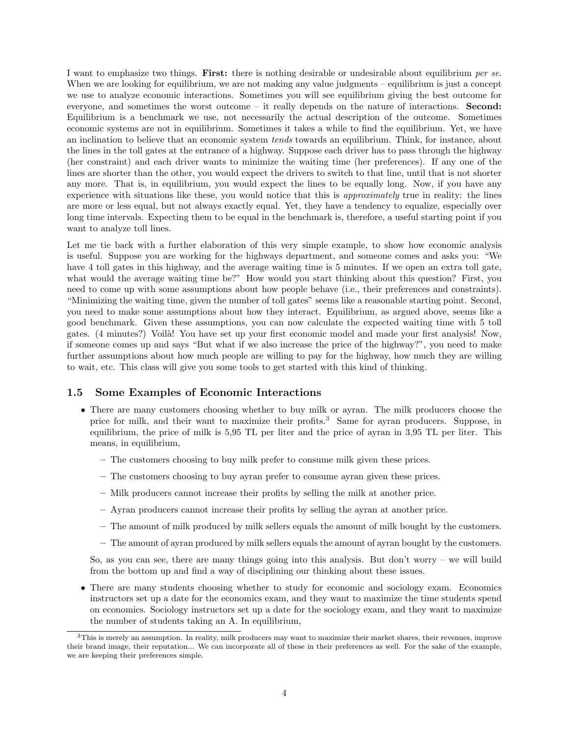I want to emphasize two things. First: there is nothing desirable or undesirable about equilibrium per se. When we are looking for equilibrium, we are not making any value judgments – equilibrium is just a concept we use to analyze economic interactions. Sometimes you will see equilibrium giving the best outcome for everyone, and sometimes the worst outcome – it really depends on the nature of interactions. Second: Equilibrium is a benchmark we use, not necessarily the actual description of the outcome. Sometimes economic systems are not in equilibrium. Sometimes it takes a while to find the equilibrium. Yet, we have an inclination to believe that an economic system tends towards an equilibrium. Think, for instance, about the lines in the toll gates at the entrance of a highway. Suppose each driver has to pass through the highway (her constraint) and each driver wants to minimize the waiting time (her preferences). If any one of the lines are shorter than the other, you would expect the drivers to switch to that line, until that is not shorter any more. That is, in equilibrium, you would expect the lines to be equally long. Now, if you have any experience with situations like these, you would notice that this is approximately true in reality: the lines are more or less equal, but not always exactly equal. Yet, they have a tendency to equalize, especially over long time intervals. Expecting them to be equal in the benchmark is, therefore, a useful starting point if you want to analyze toll lines.

Let me tie back with a further elaboration of this very simple example, to show how economic analysis is useful. Suppose you are working for the highways department, and someone comes and asks you: "We have 4 toll gates in this highway, and the average waiting time is 5 minutes. If we open an extra toll gate, what would the average waiting time be?" How would you start thinking about this question? First, you need to come up with some assumptions about how people behave (i.e., their preferences and constraints). "Minimizing the waiting time, given the number of toll gates" seems like a reasonable starting point. Second, you need to make some assumptions about how they interact. Equilibrium, as argued above, seems like a good benchmark. Given these assumptions, you can now calculate the expected waiting time with 5 toll gates. (4 minutes?) Voilà! You have set up your first economic model and made your first analysis! Now, if someone comes up and says "But what if we also increase the price of the highway?", you need to make further assumptions about how much people are willing to pay for the highway, how much they are willing to wait, etc. This class will give you some tools to get started with this kind of thinking.

#### <span id="page-3-0"></span>1.5 Some Examples of Economic Interactions

- There are many customers choosing whether to buy milk or ayran. The milk producers choose the price for milk, and their want to maximize their profits.[3](#page-3-1) Same for ayran producers. Suppose, in equilibrium, the price of milk is 5,95 TL per liter and the price of ayran in 3,95 TL per liter. This means, in equilibrium,
	- The customers choosing to buy milk prefer to consume milk given these prices.
	- The customers choosing to buy ayran prefer to consume ayran given these prices.
	- Milk producers cannot increase their profits by selling the milk at another price.
	- Ayran producers cannot increase their profits by selling the ayran at another price.
	- The amount of milk produced by milk sellers equals the amount of milk bought by the customers.
	- The amount of ayran produced by milk sellers equals the amount of ayran bought by the customers.

So, as you can see, there are many things going into this analysis. But don't worry – we will build from the bottom up and find a way of disciplining our thinking about these issues.

• There are many students choosing whether to study for economic and sociology exam. Economics instructors set up a date for the economics exam, and they want to maximize the time students spend on economics. Sociology instructors set up a date for the sociology exam, and they want to maximize the number of students taking an A. In equilibrium,

<span id="page-3-1"></span><sup>3</sup>This is merely an assumption. In reality, milk producers may want to maximize their market shares, their revenues, improve their brand image, their reputation... We can incorporate all of these in their preferences as well. For the sake of the example, we are keeping their preferences simple.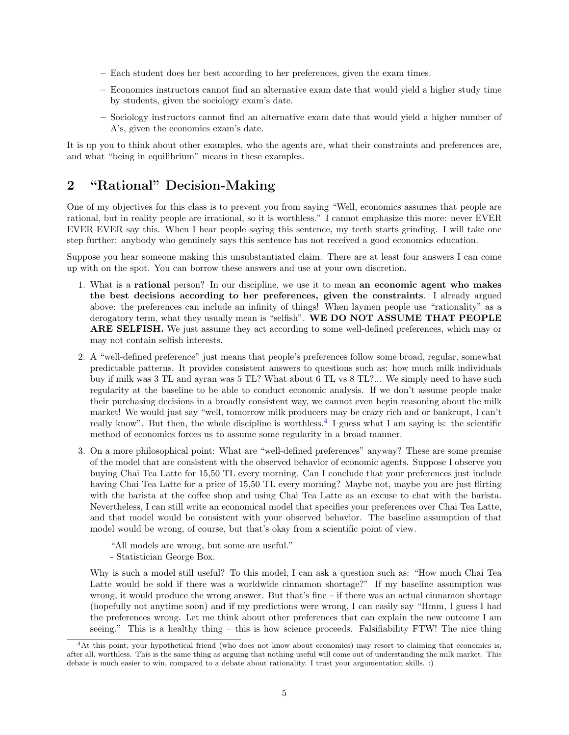- Each student does her best according to her preferences, given the exam times.
- Economics instructors cannot find an alternative exam date that would yield a higher study time by students, given the sociology exam's date.
- Sociology instructors cannot find an alternative exam date that would yield a higher number of A's, given the economics exam's date.

It is up you to think about other examples, who the agents are, what their constraints and preferences are, and what "being in equilibrium" means in these examples.

### <span id="page-4-0"></span>2 "Rational" Decision-Making

One of my objectives for this class is to prevent you from saying "Well, economics assumes that people are rational, but in reality people are irrational, so it is worthless." I cannot emphasize this more: never EVER EVER EVER say this. When I hear people saying this sentence, my teeth starts grinding. I will take one step further: anybody who genuinely says this sentence has not received a good economics education.

Suppose you hear someone making this unsubstantiated claim. There are at least four answers I can come up with on the spot. You can borrow these answers and use at your own discretion.

- 1. What is a rational person? In our discipline, we use it to mean an economic agent who makes the best decisions according to her preferences, given the constraints. I already argued above: the preferences can include an infinity of things! When laymen people use "rationality" as a derogatory term, what they usually mean is "selfish". WE DO NOT ASSUME THAT PEOPLE ARE SELFISH. We just assume they act according to some well-defined preferences, which may or may not contain selfish interests.
- 2. A "well-defined preference" just means that people's preferences follow some broad, regular, somewhat predictable patterns. It provides consistent answers to questions such as: how much milk individuals buy if milk was 3 TL and ayran was 5 TL? What about 6 TL vs 8 TL?... We simply need to have such regularity at the baseline to be able to conduct economic analysis. If we don't assume people make their purchasing decisions in a broadly consistent way, we cannot even begin reasoning about the milk market! We would just say "well, tomorrow milk producers may be crazy rich and or bankrupt, I can't really know". But then, the whole discipline is worthless.<sup>[4](#page-4-1)</sup> I guess what I am saying is: the scientific method of economics forces us to assume some regularity in a broad manner.
- 3. On a more philosophical point: What are "well-defined preferences" anyway? These are some premise of the model that are consistent with the observed behavior of economic agents. Suppose I observe you buying Chai Tea Latte for 15,50 TL every morning. Can I conclude that your preferences just include having Chai Tea Latte for a price of 15,50 TL every morning? Maybe not, maybe you are just flirting with the barista at the coffee shop and using Chai Tea Latte as an excuse to chat with the barista. Nevertheless, I can still write an economical model that specifies your preferences over Chai Tea Latte, and that model would be consistent with your observed behavior. The baseline assumption of that model would be wrong, of course, but that's okay from a scientific point of view.

"All models are wrong, but some are useful."

- Statistician George Box.

Why is such a model still useful? To this model, I can ask a question such as: "How much Chai Tea Latte would be sold if there was a worldwide cinnamon shortage?" If my baseline assumption was wrong, it would produce the wrong answer. But that's fine – if there was an actual cinnamon shortage (hopefully not anytime soon) and if my predictions were wrong, I can easily say "Hmm, I guess I had the preferences wrong. Let me think about other preferences that can explain the new outcome I am seeing." This is a healthy thing – this is how science proceeds. Falsifiability FTW! The nice thing

<span id="page-4-1"></span><sup>4</sup>At this point, your hypothetical friend (who does not know about economics) may resort to claiming that economics is, after all, worthless. This is the same thing as arguing that nothing useful will come out of understanding the milk market. This debate is much easier to win, compared to a debate about rationality. I trust your argumentation skills. :)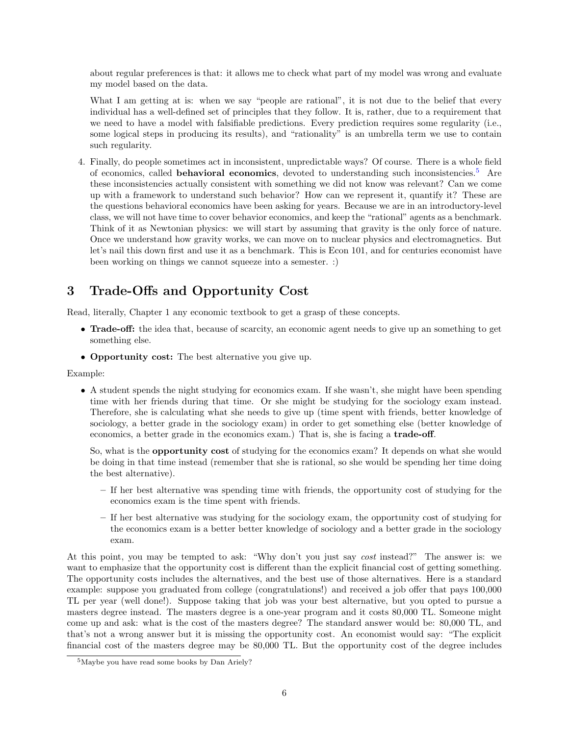about regular preferences is that: it allows me to check what part of my model was wrong and evaluate my model based on the data.

What I am getting at is: when we say "people are rational", it is not due to the belief that every individual has a well-defined set of principles that they follow. It is, rather, due to a requirement that we need to have a model with falsifiable predictions. Every prediction requires some regularity (i.e., some logical steps in producing its results), and "rationality" is an umbrella term we use to contain such regularity.

4. Finally, do people sometimes act in inconsistent, unpredictable ways? Of course. There is a whole field of economics, called behavioral economics, devoted to understanding such inconsistencies.[5](#page-5-1) Are these inconsistencies actually consistent with something we did not know was relevant? Can we come up with a framework to understand such behavior? How can we represent it, quantify it? These are the questions behavioral economics have been asking for years. Because we are in an introductory-level class, we will not have time to cover behavior economics, and keep the "rational" agents as a benchmark. Think of it as Newtonian physics: we will start by assuming that gravity is the only force of nature. Once we understand how gravity works, we can move on to nuclear physics and electromagnetics. But let's nail this down first and use it as a benchmark. This is Econ 101, and for centuries economist have been working on things we cannot squeeze into a semester. :)

# <span id="page-5-0"></span>3 Trade-Offs and Opportunity Cost

Read, literally, Chapter 1 any economic textbook to get a grasp of these concepts.

- Trade-off: the idea that, because of scarcity, an economic agent needs to give up an something to get something else.
- Opportunity cost: The best alternative you give up.

Example:

• A student spends the night studying for economics exam. If she wasn't, she might have been spending time with her friends during that time. Or she might be studying for the sociology exam instead. Therefore, she is calculating what she needs to give up (time spent with friends, better knowledge of sociology, a better grade in the sociology exam) in order to get something else (better knowledge of economics, a better grade in the economics exam.) That is, she is facing a trade-off.

So, what is the opportunity cost of studying for the economics exam? It depends on what she would be doing in that time instead (remember that she is rational, so she would be spending her time doing the best alternative).

- If her best alternative was spending time with friends, the opportunity cost of studying for the economics exam is the time spent with friends.
- If her best alternative was studying for the sociology exam, the opportunity cost of studying for the economics exam is a better better knowledge of sociology and a better grade in the sociology exam.

At this point, you may be tempted to ask: "Why don't you just say cost instead?" The answer is: we want to emphasize that the opportunity cost is different than the explicit financial cost of getting something. The opportunity costs includes the alternatives, and the best use of those alternatives. Here is a standard example: suppose you graduated from college (congratulations!) and received a job offer that pays 100,000 TL per year (well done!). Suppose taking that job was your best alternative, but you opted to pursue a masters degree instead. The masters degree is a one-year program and it costs 80,000 TL. Someone might come up and ask: what is the cost of the masters degree? The standard answer would be: 80,000 TL, and that's not a wrong answer but it is missing the opportunity cost. An economist would say: "The explicit financial cost of the masters degree may be 80,000 TL. But the opportunity cost of the degree includes

<span id="page-5-1"></span><sup>5</sup>Maybe you have read some books by Dan Ariely?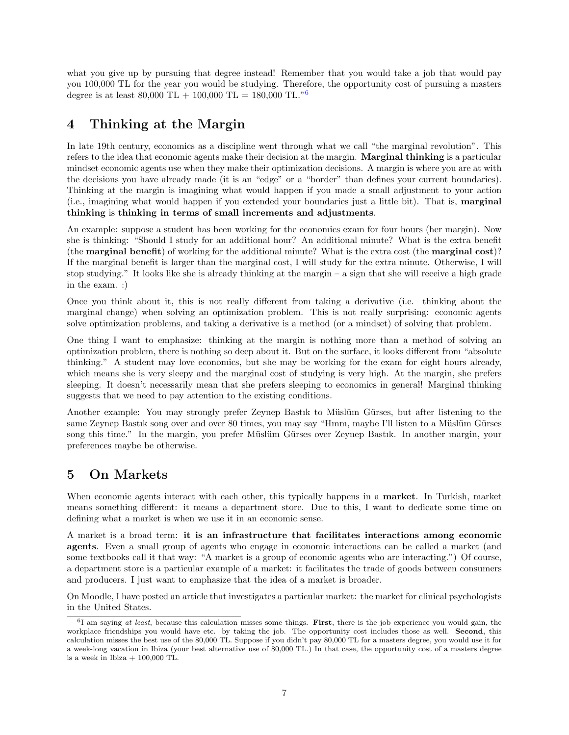what you give up by pursuing that degree instead! Remember that you would take a job that would pay you 100,000 TL for the year you would be studying. Therefore, the opportunity cost of pursuing a masters degree is at least 80,000 TL + 100,000 TL = 180,000 TL."<sup>[6](#page-6-2)</sup>

# <span id="page-6-0"></span>4 Thinking at the Margin

In late 19th century, economics as a discipline went through what we call "the marginal revolution". This refers to the idea that economic agents make their decision at the margin. Marginal thinking is a particular mindset economic agents use when they make their optimization decisions. A margin is where you are at with the decisions you have already made (it is an "edge" or a "border" than defines your current boundaries). Thinking at the margin is imagining what would happen if you made a small adjustment to your action (i.e., imagining what would happen if you extended your boundaries just a little bit). That is, marginal thinking is thinking in terms of small increments and adjustments.

An example: suppose a student has been working for the economics exam for four hours (her margin). Now she is thinking: "Should I study for an additional hour? An additional minute? What is the extra benefit (the marginal benefit) of working for the additional minute? What is the extra cost (the marginal cost)? If the marginal benefit is larger than the marginal cost, I will study for the extra minute. Otherwise, I will stop studying." It looks like she is already thinking at the margin – a sign that she will receive a high grade in the exam. :)

Once you think about it, this is not really different from taking a derivative (i.e. thinking about the marginal change) when solving an optimization problem. This is not really surprising: economic agents solve optimization problems, and taking a derivative is a method (or a mindset) of solving that problem.

One thing I want to emphasize: thinking at the margin is nothing more than a method of solving an optimization problem, there is nothing so deep about it. But on the surface, it looks different from "absolute thinking." A student may love economics, but she may be working for the exam for eight hours already, which means she is very sleepy and the marginal cost of studying is very high. At the margin, she prefers sleeping. It doesn't necessarily mean that she prefers sleeping to economics in general! Marginal thinking suggests that we need to pay attention to the existing conditions.

Another example: You may strongly prefer Zeynep Bastik to Müslüm Gürses, but after listening to the same Zeynep Bastik song over and over 80 times, you may say "Hmm, maybe I'll listen to a Müslüm Gürses" song this time." In the margin, you prefer Müslüm Gürses over Zeynep Bastik. In another margin, your preferences maybe be otherwise.

## <span id="page-6-1"></span>5 On Markets

When economic agents interact with each other, this typically happens in a **market**. In Turkish, market means something different: it means a department store. Due to this, I want to dedicate some time on defining what a market is when we use it in an economic sense.

A market is a broad term: it is an infrastructure that facilitates interactions among economic agents. Even a small group of agents who engage in economic interactions can be called a market (and some textbooks call it that way: "A market is a group of economic agents who are interacting.") Of course, a department store is a particular example of a market: it facilitates the trade of goods between consumers and producers. I just want to emphasize that the idea of a market is broader.

On Moodle, I have posted an article that investigates a particular market: the market for clinical psychologists in the United States.

<span id="page-6-2"></span> ${}^{6}I$  am saying at least, because this calculation misses some things. First, there is the job experience you would gain, the workplace friendships you would have etc. by taking the job. The opportunity cost includes those as well. Second, this calculation misses the best use of the 80,000 TL. Suppose if you didn't pay 80,000 TL for a masters degree, you would use it for a week-long vacation in Ibiza (your best alternative use of 80,000 TL.) In that case, the opportunity cost of a masters degree is a week in Ibiza  $+100,000$  TL.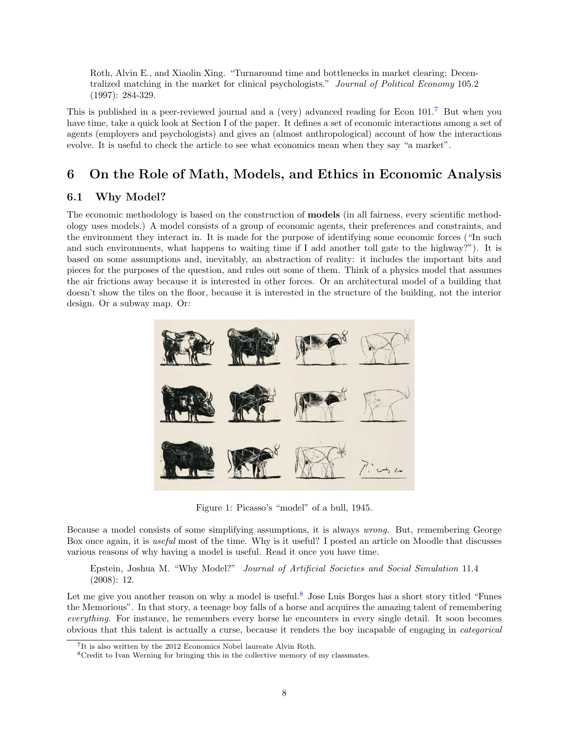Roth, Alvin E., and Xiaolin Xing. "Turnaround time and bottlenecks in market clearing: Decentralized matching in the market for clinical psychologists." Journal of Political Economy 105.2 (1997): 284-329.

This is published in a peer-reviewed journal and a (very) advanced reading for Econ 101.[7](#page-7-2) But when you have time, take a quick look at Section I of the paper. It defines a set of economic interactions among a set of agents (employers and psychologists) and gives an (almost anthropological) account of how the interactions evolve. It is useful to check the article to see what economics mean when they say "a market".

# <span id="page-7-0"></span>6 On the Role of Math, Models, and Ethics in Economic Analysis

### <span id="page-7-1"></span>6.1 Why Model?

The economic methodology is based on the construction of models (in all fairness, every scientific methodology uses models.) A model consists of a group of economic agents, their preferences and constraints, and the environment they interact in. It is made for the purpose of identifying some economic forces ("In such and such environments, what happens to waiting time if I add another toll gate to the highway?"). It is based on some assumptions and, inevitably, an abstraction of reality: it includes the important bits and pieces for the purposes of the question, and rules out some of them. Think of a physics model that assumes the air frictions away because it is interested in other forces. Or an architectural model of a building that doesn't show the tiles on the floor, because it is interested in the structure of the building, not the interior design. Or a subway map. Or:



Figure 1: Picasso's "model" of a bull, 1945.

Because a model consists of some simplifying assumptions, it is always wrong. But, remembering George Box once again, it is useful most of the time. Why is it useful? I posted an article on Moodle that discusses various reasons of why having a model is useful. Read it once you have time.

Epstein, Joshua M. "Why Model?" Journal of Artificial Societies and Social Simulation 11.4 (2008): 12.

Let me give you another reason on why a model is useful.<sup>[8](#page-7-3)</sup> Jose Luis Borges has a short story titled "Funes" the Memorious". In that story, a teenage boy falls of a horse and acquires the amazing talent of remembering everything. For instance, he remembers every horse he encounters in every single detail. It soon becomes obvious that this talent is actually a curse, because it renders the boy incapable of engaging in categorical

<span id="page-7-2"></span><sup>&</sup>lt;sup>7</sup>It is also written by the 2012 Economics Nobel laureate Alvin Roth.

<span id="page-7-3"></span><sup>8</sup>Credit to Ivan Werning for bringing this in the collective memory of my classmates.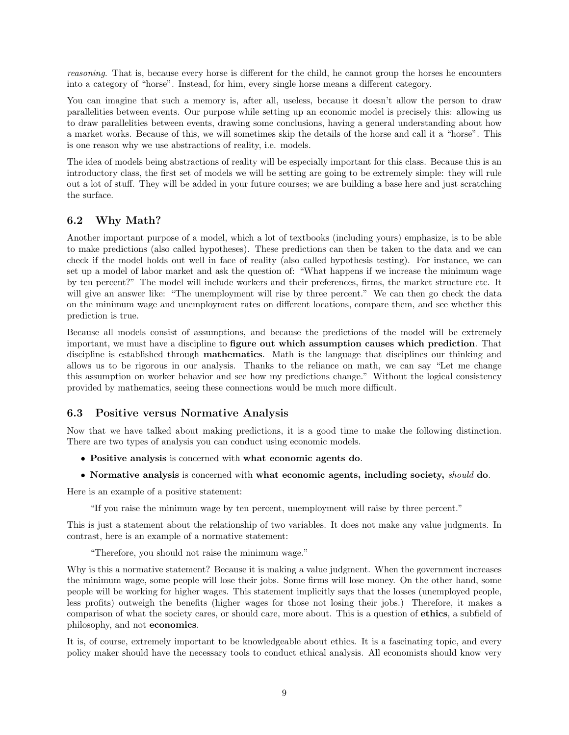reasoning. That is, because every horse is different for the child, he cannot group the horses he encounters into a category of "horse". Instead, for him, every single horse means a different category.

You can imagine that such a memory is, after all, useless, because it doesn't allow the person to draw parallelities between events. Our purpose while setting up an economic model is precisely this: allowing us to draw parallelities between events, drawing some conclusions, having a general understanding about how a market works. Because of this, we will sometimes skip the details of the horse and call it a "horse". This is one reason why we use abstractions of reality, i.e. models.

The idea of models being abstractions of reality will be especially important for this class. Because this is an introductory class, the first set of models we will be setting are going to be extremely simple: they will rule out a lot of stuff. They will be added in your future courses; we are building a base here and just scratching the surface.

### <span id="page-8-0"></span>6.2 Why Math?

Another important purpose of a model, which a lot of textbooks (including yours) emphasize, is to be able to make predictions (also called hypotheses). These predictions can then be taken to the data and we can check if the model holds out well in face of reality (also called hypothesis testing). For instance, we can set up a model of labor market and ask the question of: "What happens if we increase the minimum wage by ten percent?" The model will include workers and their preferences, firms, the market structure etc. It will give an answer like: "The unemployment will rise by three percent." We can then go check the data on the minimum wage and unemployment rates on different locations, compare them, and see whether this prediction is true.

Because all models consist of assumptions, and because the predictions of the model will be extremely important, we must have a discipline to figure out which assumption causes which prediction. That discipline is established through mathematics. Math is the language that disciplines our thinking and allows us to be rigorous in our analysis. Thanks to the reliance on math, we can say "Let me change this assumption on worker behavior and see how my predictions change." Without the logical consistency provided by mathematics, seeing these connections would be much more difficult.

### <span id="page-8-1"></span>6.3 Positive versus Normative Analysis

Now that we have talked about making predictions, it is a good time to make the following distinction. There are two types of analysis you can conduct using economic models.

- Positive analysis is concerned with what economic agents do.
- Normative analysis is concerned with what economic agents, including society, should do.

Here is an example of a positive statement:

"If you raise the minimum wage by ten percent, unemployment will raise by three percent."

This is just a statement about the relationship of two variables. It does not make any value judgments. In contrast, here is an example of a normative statement:

"Therefore, you should not raise the minimum wage."

Why is this a normative statement? Because it is making a value judgment. When the government increases the minimum wage, some people will lose their jobs. Some firms will lose money. On the other hand, some people will be working for higher wages. This statement implicitly says that the losses (unemployed people, less profits) outweigh the benefits (higher wages for those not losing their jobs.) Therefore, it makes a comparison of what the society cares, or should care, more about. This is a question of ethics, a subfield of philosophy, and not economics.

It is, of course, extremely important to be knowledgeable about ethics. It is a fascinating topic, and every policy maker should have the necessary tools to conduct ethical analysis. All economists should know very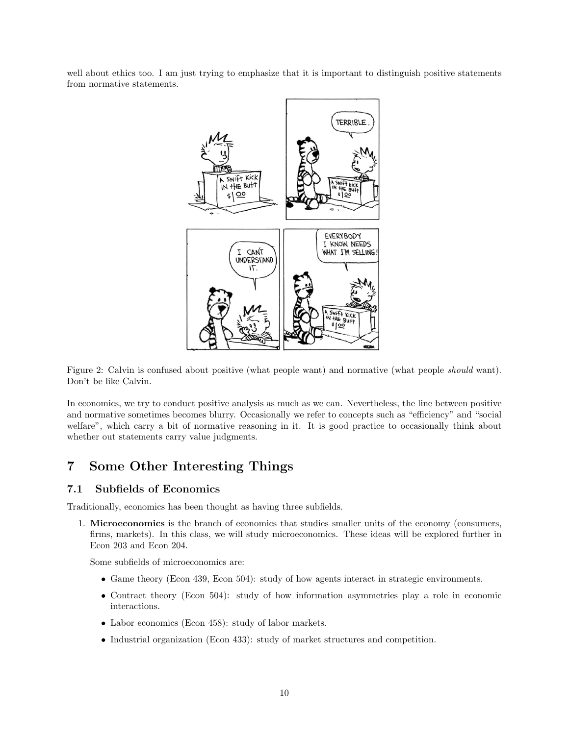well about ethics too. I am just trying to emphasize that it is important to distinguish positive statements from normative statements.



Figure 2: Calvin is confused about positive (what people want) and normative (what people should want). Don't be like Calvin.

In economics, we try to conduct positive analysis as much as we can. Nevertheless, the line between positive and normative sometimes becomes blurry. Occasionally we refer to concepts such as "efficiency" and "social welfare", which carry a bit of normative reasoning in it. It is good practice to occasionally think about whether out statements carry value judgments.

### <span id="page-9-0"></span>7 Some Other Interesting Things

### <span id="page-9-1"></span>7.1 Subfields of Economics

Traditionally, economics has been thought as having three subfields.

1. Microeconomics is the branch of economics that studies smaller units of the economy (consumers, firms, markets). In this class, we will study microeconomics. These ideas will be explored further in Econ 203 and Econ 204.

Some subfields of microeconomics are:

- Game theory (Econ 439, Econ 504): study of how agents interact in strategic environments.
- Contract theory (Econ 504): study of how information asymmetries play a role in economic interactions.
- Labor economics (Econ 458): study of labor markets.
- Industrial organization (Econ 433): study of market structures and competition.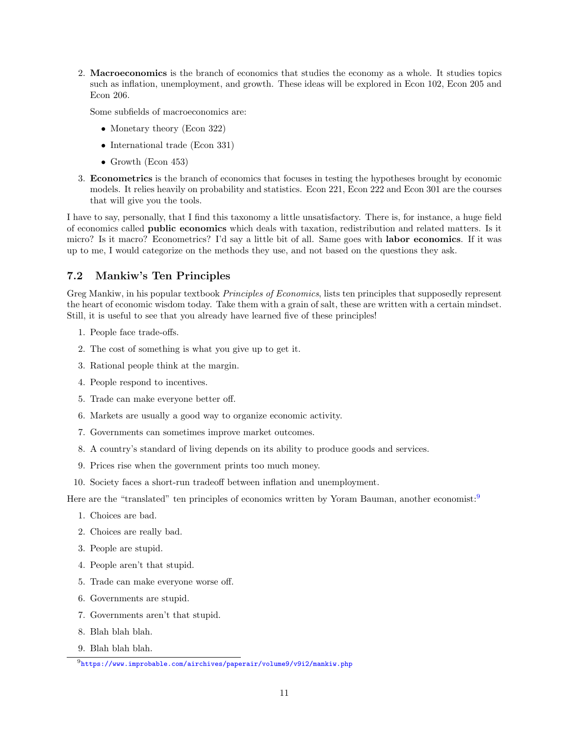2. Macroeconomics is the branch of economics that studies the economy as a whole. It studies topics such as inflation, unemployment, and growth. These ideas will be explored in Econ 102, Econ 205 and Econ 206.

Some subfields of macroeconomics are:

- Monetary theory (Econ 322)
- International trade (Econ 331)
- Growth (Econ 453)
- 3. Econometrics is the branch of economics that focuses in testing the hypotheses brought by economic models. It relies heavily on probability and statistics. Econ 221, Econ 222 and Econ 301 are the courses that will give you the tools.

I have to say, personally, that I find this taxonomy a little unsatisfactory. There is, for instance, a huge field of economics called public economics which deals with taxation, redistribution and related matters. Is it micro? Is it macro? Econometrics? I'd say a little bit of all. Same goes with labor economics. If it was up to me, I would categorize on the methods they use, and not based on the questions they ask.

### <span id="page-10-0"></span>7.2 Mankiw's Ten Principles

Greg Mankiw, in his popular textbook Principles of Economics, lists ten principles that supposedly represent the heart of economic wisdom today. Take them with a grain of salt, these are written with a certain mindset. Still, it is useful to see that you already have learned five of these principles!

- 1. People face trade-offs.
- 2. The cost of something is what you give up to get it.
- 3. Rational people think at the margin.
- 4. People respond to incentives.
- 5. Trade can make everyone better off.
- 6. Markets are usually a good way to organize economic activity.
- 7. Governments can sometimes improve market outcomes.
- 8. A country's standard of living depends on its ability to produce goods and services.
- 9. Prices rise when the government prints too much money.
- 10. Society faces a short-run tradeoff between inflation and unemployment.

Here are the "translated" ten principles of economics written by Yoram Bauman, another economist:<sup>[9](#page-10-1)</sup>

- 1. Choices are bad.
- 2. Choices are really bad.
- 3. People are stupid.
- 4. People aren't that stupid.
- 5. Trade can make everyone worse off.
- 6. Governments are stupid.
- 7. Governments aren't that stupid.
- 8. Blah blah blah.
- 9. Blah blah blah.

<span id="page-10-1"></span> $^{9}$ <https://www.improbable.com/airchives/paperair/volume9/v9i2/mankiw.php>